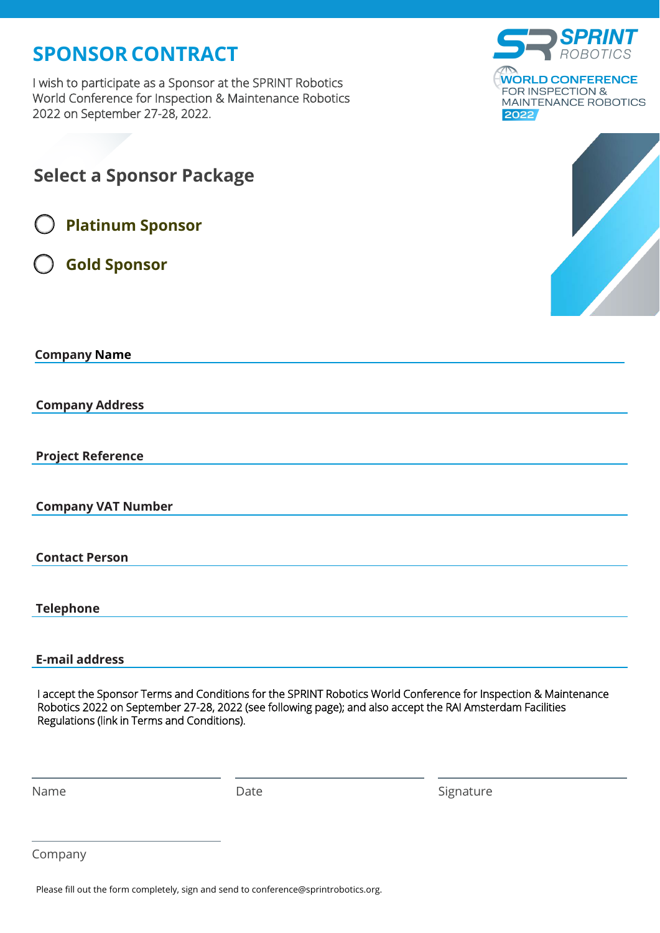## **SPONSOR CONTRACT**

I wish to participate as a Sponsor at the SPRINT Robotics World Conference for Inspection & Maintenance Robotics 2022 on September 27-28, 2022.



| <b>Select a Sponsor Package</b>                                                                                                                          |      |                                                                                                                 |
|----------------------------------------------------------------------------------------------------------------------------------------------------------|------|-----------------------------------------------------------------------------------------------------------------|
| <b>Platinum Sponsor</b>                                                                                                                                  |      |                                                                                                                 |
| <b>Gold Sponsor</b>                                                                                                                                      |      |                                                                                                                 |
| <b>Company Name</b>                                                                                                                                      |      |                                                                                                                 |
| <b>Company Address</b>                                                                                                                                   |      |                                                                                                                 |
| <b>Project Reference</b>                                                                                                                                 |      |                                                                                                                 |
| <b>Company VAT Number</b>                                                                                                                                |      |                                                                                                                 |
| <b>Contact Person</b>                                                                                                                                    |      |                                                                                                                 |
| <b>Telephone</b>                                                                                                                                         |      |                                                                                                                 |
| <b>E-mail address</b>                                                                                                                                    |      |                                                                                                                 |
| Robotics 2022 on September 27-28, 2022 (see following page); and also accept the RAI Amsterdam Facilities<br>Regulations (link in Terms and Conditions). |      | I accept the Sponsor Terms and Conditions for the SPRINT Robotics World Conference for Inspection & Maintenance |
| Name                                                                                                                                                     | Date | Signature                                                                                                       |

Company